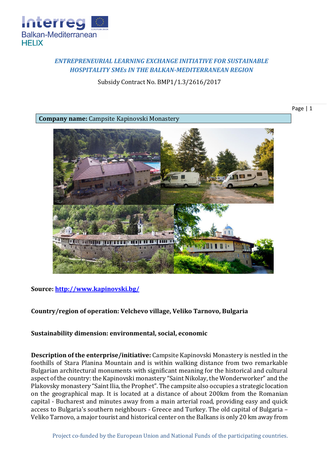

## *ENTREPRENEURIAL LEARNING EXCHANGE INITIATIVE FOR SUSTAINABLE HOSPITALITY SMEs IN THE BALKAN-MEDITERRANEAN REGION*

Subsidy Contract No. BMP1/1.3/2616/2017

Page | 1

**Company name:** Campsite Kapinovski Monastery



**Source:<http://www.kapinovski.bg/>**

## **Country/region of operation: Velchevo village, Veliko Tarnovo, Bulgaria**

## **Sustainability dimension: environmental, social, economic**

**Description of the enterprise/initiative:** Campsite Kapinovski Monastery is nestled in the foothills of Stara Planina Mountain and is within walking distance from two remarkable Bulgarian architectural monuments with significant meaning for the historical and cultural aspect of the country: the Kapinovski monastery "Saint Nikolay, the Wonderworker" and the Plakovsky monastery "Saint Ilia, the Prophet". The campsite also occupies a strategic location on the geographical map. It is located at a distance of about 200km from the Romanian capital - Bucharest and minutes away from a main arterial road, providing easy and quick access to Bulgaria's southern neighbours - Greece and Turkey. The old capital of Bulgaria – Veliko Tarnovo, a major tourist and historical center on the Balkans is only 20 km away from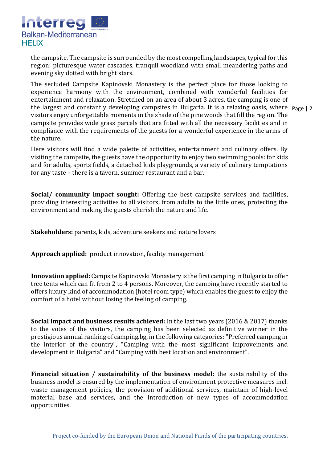

the campsite. The campsite is surrounded by the most compelling landscapes, typical for this region: picturesque water cascades, tranquil woodland with small meandering paths and evening sky dotted with bright stars.

the largest and constantly developing campsites in Bulgaria. It is a relaxing oasis, where Page | 2 The secluded Campsite Kapinovski Monastery is the perfect place for those looking to experience harmony with the environment, combined with wonderful facilities for entertainment and relaxation. Stretched on an area of about 3 acres, the camping is one of visitors enjoy unforgettable moments in the shade of the pine woods that fill the region. The campsite provides wide grass parcels that are fitted with all the necessary facilities and in compliance with the requirements of the guests for a wonderful experience in the arms of the nature.

Here visitors will find a wide palette of activities, entertainment and culinary offers. By visiting the campsite, the guests have the opportunity to enjoy two swimming pools: for kids and for adults, sports fields, a detached kids playgrounds, a variety of culinary temptations for any taste – there is a tavern, summer restaurant and a bar.

**Social/ community impact sought:** Offering the best campsite services and facilities, providing interesting activities to all visitors, from adults to the little ones, protecting the environment and making the guests cherish the nature and life.

**Stakeholders:** parents, kids, adventure seekers and nature lovers

**Approach applied:** product innovation, facility management

**Innovation applied:** Campsite Kapinovski Monastery is the first camping in Bulgaria to offer tree tents which can fit from 2 to 4 persons. Moreover, the camping have recently started to offers luxury kind of accommodation (hotel room type) which enables the guest to enjoy the comfort of a hotel without losing the feeling of camping.

**Social impact and business results achieved:** In the last two years (2016 & 2017) thanks to the votes of the visitors, the camping has been selected as definitive winner in the prestigious annual ranking of camping.bg, in the following categories: "Preferred camping in the interior of the country", "Camping with the most significant improvements and development in Bulgaria" and "Camping with best location and environment".

**Financial situation / sustainability of the business model:** the sustainability of the business model is ensured by the implementation of environment protective measures incl. waste management policies, the provision of additional services, maintain of high-level material base and services, and the introduction of new types of accommodation opportunities.